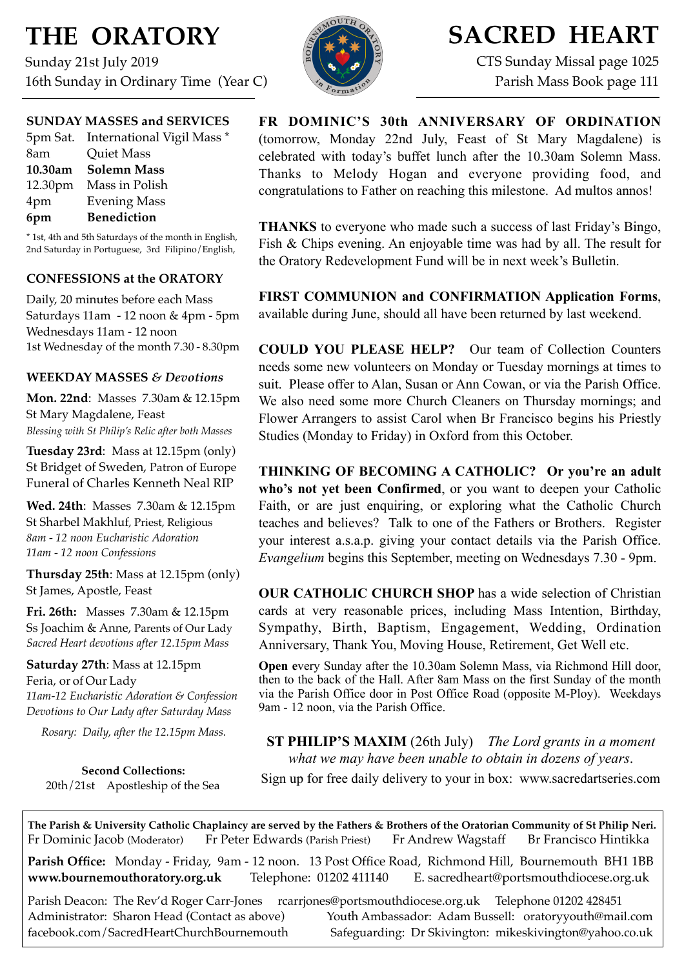# **THE ORATORY**

Sunday 21st July 2019 16th Sunday in Ordinary Time (Year C)

# **SACRED HEART**

CTS Sunday Missal page 1025 Parish Mass Book page 111

## **SUNDAY MASSES and SERVICES**

|     | 5pm Sat. International Vigil Mass * |
|-----|-------------------------------------|
| 8am | <b>Quiet Mass</b>                   |
|     | 10.30am Solemn Mass                 |
|     | 12.30pm Mass in Polish              |
| 4pm | <b>Evening Mass</b>                 |
| 6pm | <b>Benediction</b>                  |

\* 1st, 4th and 5th Saturdays of the month in English, 2nd Saturday in Portuguese, 3rd Filipino/English,

## **CONFESSIONS at the ORATORY**

Daily, 20 minutes before each Mass Saturdays 11am - 12 noon & 4pm - 5pm Wednesdays 11am - 12 noon 1st Wednesday of the month 7.30 - 8.30pm

## **WEEKDAY MASSES** *& Devotions*

**Mon. 22nd**: Masses 7.30am & 12.15pm St Mary Magdalene, Feast *Blessing with St Philip's Relic after both Masses*

**Tuesday 23rd**: Mass at 12.15pm (only) St Bridget of Sweden, Patron of Europe Funeral of Charles Kenneth Neal RIP

**Wed. 24th**: Masses7.30am & 12.15pm St Sharbel Makhluf, Priest, Religious *8am - 12 noon Eucharistic Adoration 11am - 12 noon Confessions*

**Thursday 25th**: Mass at 12.15pm (only) St James, Apostle, Feast

**Fri. 26th:** Masses 7.30am & 12.15pm Ss Joachim & Anne, Parents of Our Lady *Sacred Heart devotions after 12.15pm Mass*

**Saturday 27th**: Mass at 12.15pm Feria, or of Our Lady *11am-12 Eucharistic Adoration & Confession Devotions to Our Lady after Saturday Mass*

*Rosary: Daily, after the 12.15pm Mass.*

**Second Collections:** 20th/21st Apostleship of the Sea

**FR DOMINIC'S 30th ANNIVERSARY OF ORDINATION**  (tomorrow, Monday 22nd July, Feast of St Mary Magdalene) is celebrated with today's buffet lunch after the 10.30am Solemn Mass. Thanks to Melody Hogan and everyone providing food, and congratulations to Father on reaching this milestone. Ad multos annos!

**THANKS** to everyone who made such a success of last Friday's Bingo, Fish & Chips evening. An enjoyable time was had by all. The result for the Oratory Redevelopment Fund will be in next week's Bulletin.

**FIRST COMMUNION and CONFIRMATION Application Forms**, available during June, should all have been returned by last weekend.

**COULD YOU PLEASE HELP?** Our team of Collection Counters needs some new volunteers on Monday or Tuesday mornings at times to suit. Please offer to Alan, Susan or Ann Cowan, or via the Parish Office. We also need some more Church Cleaners on Thursday mornings; and Flower Arrangers to assist Carol when Br Francisco begins his Priestly Studies (Monday to Friday) in Oxford from this October.

**THINKING OF BECOMING A CATHOLIC? Or you're an adult who's not yet been Confirmed**, or you want to deepen your Catholic Faith, or are just enquiring, or exploring what the Catholic Church teaches and believes? Talk to one of the Fathers or Brothers. Register your interest a.s.a.p. giving your contact details via the Parish Office. *Evangelium* begins this September, meeting on Wednesdays 7.30 - 9pm.

**OUR CATHOLIC CHURCH SHOP** has a wide selection of Christian cards at very reasonable prices, including Mass Intention, Birthday, Sympathy, Birth, Baptism, Engagement, Wedding, Ordination Anniversary, Thank You, Moving House, Retirement, Get Well etc.

**Open e**very Sunday after the 10.30am Solemn Mass, via Richmond Hill door, then to the back of the Hall. After 8am Mass on the first Sunday of the month via the Parish Office door in Post Office Road (opposite M-Ploy). Weekdays 9am - 12 noon, via the Parish Office.

**ST PHILIP'S MAXIM** (26th July) *The Lord grants in a moment what we may have been unable to obtain in dozens of years*.

Sign up for free daily delivery to your in box: [www.sacredartseries.com](http://www.sacredartseries.com)

**The Parish & University Catholic Chaplaincy are served by the Fathers & Brothers of the Oratorian Community of St Philip Neri.** Fr Dominic Jacob (Moderator) Fr Peter Edwards (Parish Priest) Fr Andrew Wagstaff Br Francisco Hintikka

**Parish Office:** Monday - Friday, 9am - 12 noon. 13 Post Office Road, Richmond Hill, Bournemouth BH1 1BB **[www.bournemouthoratory.org.uk](http://www.bournemoithoratory.org.uk)** Telephone: 01202 411140 E. [sacredheart@portsmouthdiocese.org.uk](mailto:sacredheart@portsmouthdiocese.org.uk)

Parish Deacon: The Rev'd Roger Carr-Jones [rcarrjones@portsmouthdiocese.org.uk](mailto:rcarrjones@portsmouthdiocese.org.uk) Telephone 01202 428451 Administrator: Sharon Head (Contact as above) Youth Ambassador: Adam Bussell: [oratoryyouth@mail.com](http://oratoryyouth.mail.com) [facebook.com/SacredHeartChurchBournemouth](http://facebook.com/SaccredHeartChurchBournemouth) Safeguarding: Dr Skivington: mikeskivington@yahoo.co.uk